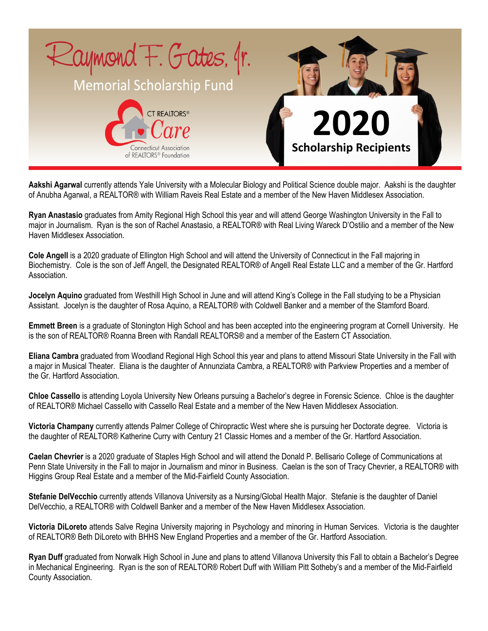

**Aakshi Agarwal** currently attends Yale University with a Molecular Biology and Political Science double major. Aakshi is the daughter of Anubha Agarwal, a REALTOR® with William Raveis Real Estate and a member of the New Haven Middlesex Association.

**Ryan Anastasio** graduates from Amity Regional High School this year and will attend George Washington University in the Fall to major in Journalism. Ryan is the son of Rachel Anastasio, a REALTOR® with Real Living Wareck D'Ostilio and a member of the New Haven Middlesex Association.

**Cole Angell** is a 2020 graduate of Ellington High School and will attend the University of Connecticut in the Fall majoring in Biochemistry. Cole is the son of Jeff Angell, the Designated REALTOR® of Angell Real Estate LLC and a member of the Gr. Hartford Association.

**Jocelyn Aquino** graduated from Westhill High School in June and will attend King's College in the Fall studying to be a Physician Assistant. Jocelyn is the daughter of Rosa Aquino, a REALTOR® with Coldwell Banker and a member of the Stamford Board.

**Emmett Breen** is a graduate of Stonington High School and has been accepted into the engineering program at Cornell University. He is the son of REALTOR® Roanna Breen with Randall REALTORS® and a member of the Eastern CT Association.

**Eliana Cambra** graduated from Woodland Regional High School this year and plans to attend Missouri State University in the Fall with a major in Musical Theater. Eliana is the daughter of Annunziata Cambra, a REALTOR® with Parkview Properties and a member of the Gr. Hartford Association.

**Chloe Cassello** is attending Loyola University New Orleans pursuing a Bachelor's degree in Forensic Science. Chloe is the daughter of REALTOR® Michael Cassello with Cassello Real Estate and a member of the New Haven Middlesex Association.

**Victoria Champany** currently attends Palmer College of Chiropractic West where she is pursuing her Doctorate degree. Victoria is the daughter of REALTOR® Katherine Curry with Century 21 Classic Homes and a member of the Gr. Hartford Association.

**Caelan Chevrier** is a 2020 graduate of Staples High School and will attend the Donald P. Bellisario College of Communications at Penn State University in the Fall to major in Journalism and minor in Business. Caelan is the son of Tracy Chevrier, a REALTOR® with Higgins Group Real Estate and a member of the Mid-Fairfield County Association.

**Stefanie DelVecchio** currently attends Villanova University as a Nursing/Global Health Major. Stefanie is the daughter of Daniel DelVecchio, a REALTOR® with Coldwell Banker and a member of the New Haven Middlesex Association.

**Victoria DiLoreto** attends Salve Regina University majoring in Psychology and minoring in Human Services. Victoria is the daughter of REALTOR® Beth DiLoreto with BHHS New England Properties and a member of the Gr. Hartford Association.

**Ryan Duff** graduated from Norwalk High School in June and plans to attend Villanova University this Fall to obtain a Bachelor's Degree in Mechanical Engineering. Ryan is the son of REALTOR® Robert Duff with William Pitt Sotheby's and a member of the Mid-Fairfield County Association.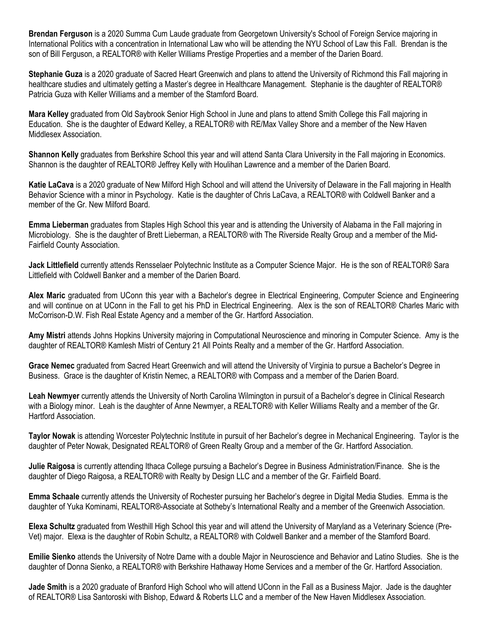**Brendan Ferguson** is a 2020 Summa Cum Laude graduate from Georgetown University's School of Foreign Service majoring in International Politics with a concentration in International Law who will be attending the NYU School of Law this Fall. Brendan is the son of Bill Ferguson, a REALTOR® with Keller Williams Prestige Properties and a member of the Darien Board.

**Stephanie Guza** is a 2020 graduate of Sacred Heart Greenwich and plans to attend the University of Richmond this Fall majoring in healthcare studies and ultimately getting a Master's degree in Healthcare Management. Stephanie is the daughter of REALTOR® Patricia Guza with Keller Williams and a member of the Stamford Board.

**Mara Kelley** graduated from Old Saybrook Senior High School in June and plans to attend Smith College this Fall majoring in Education. She is the daughter of Edward Kelley, a REALTOR® with RE/Max Valley Shore and a member of the New Haven Middlesex Association.

**Shannon Kelly** graduates from Berkshire School this year and will attend Santa Clara University in the Fall majoring in Economics. Shannon is the daughter of REALTOR® Jeffrey Kelly with Houlihan Lawrence and a member of the Darien Board.

**Katie LaCava** is a 2020 graduate of New Milford High School and will attend the University of Delaware in the Fall majoring in Health Behavior Science with a minor in Psychology. Katie is the daughter of Chris LaCava, a REALTOR® with Coldwell Banker and a member of the Gr. New Milford Board.

**Emma Lieberman** graduates from Staples High School this year and is attending the University of Alabama in the Fall majoring in Microbiology. She is the daughter of Brett Lieberman, a REALTOR® with The Riverside Realty Group and a member of the Mid-Fairfield County Association.

**Jack Littlefield** currently attends Rensselaer Polytechnic Institute as a Computer Science Major. He is the son of REALTOR® Sara Littlefield with Coldwell Banker and a member of the Darien Board.

**Alex Maric** graduated from UConn this year with a Bachelor's degree in Electrical Engineering, Computer Science and Engineering and will continue on at UConn in the Fall to get his PhD in Electrical Engineering. Alex is the son of REALTOR® Charles Maric with McCorrison-D.W. Fish Real Estate Agency and a member of the Gr. Hartford Association.

**Amy Mistri** attends Johns Hopkins University majoring in Computational Neuroscience and minoring in Computer Science. Amy is the daughter of REALTOR® Kamlesh Mistri of Century 21 All Points Realty and a member of the Gr. Hartford Association.

**Grace Nemec** graduated from Sacred Heart Greenwich and will attend the University of Virginia to pursue a Bachelor's Degree in Business. Grace is the daughter of Kristin Nemec, a REALTOR® with Compass and a member of the Darien Board.

**Leah Newmyer** currently attends the University of North Carolina Wilmington in pursuit of a Bachelor's degree in Clinical Research with a Biology minor. Leah is the daughter of Anne Newmyer, a REALTOR® with Keller Williams Realty and a member of the Gr. Hartford Association.

**Taylor Nowak** is attending Worcester Polytechnic Institute in pursuit of her Bachelor's degree in Mechanical Engineering. Taylor is the daughter of Peter Nowak, Designated REALTOR® of Green Realty Group and a member of the Gr. Hartford Association.

**Julie Raigosa** is currently attending Ithaca College pursuing a Bachelor's Degree in Business Administration/Finance. She is the daughter of Diego Raigosa, a REALTOR® with Realty by Design LLC and a member of the Gr. Fairfield Board.

**Emma Schaale** currently attends the University of Rochester pursuing her Bachelor's degree in Digital Media Studies. Emma is the daughter of Yuka Kominami, REALTOR®-Associate at Sotheby's International Realty and a member of the Greenwich Association.

**Elexa Schultz** graduated from Westhill High School this year and will attend the University of Maryland as a Veterinary Science (Pre-Vet) major. Elexa is the daughter of Robin Schultz, a REALTOR® with Coldwell Banker and a member of the Stamford Board.

**Emilie Sienko** attends the University of Notre Dame with a double Major in Neuroscience and Behavior and Latino Studies. She is the daughter of Donna Sienko, a REALTOR® with Berkshire Hathaway Home Services and a member of the Gr. Hartford Association.

**Jade Smith** is a 2020 graduate of Branford High School who will attend UConn in the Fall as a Business Major. Jade is the daughter of REALTOR® Lisa Santoroski with Bishop, Edward & Roberts LLC and a member of the New Haven Middlesex Association.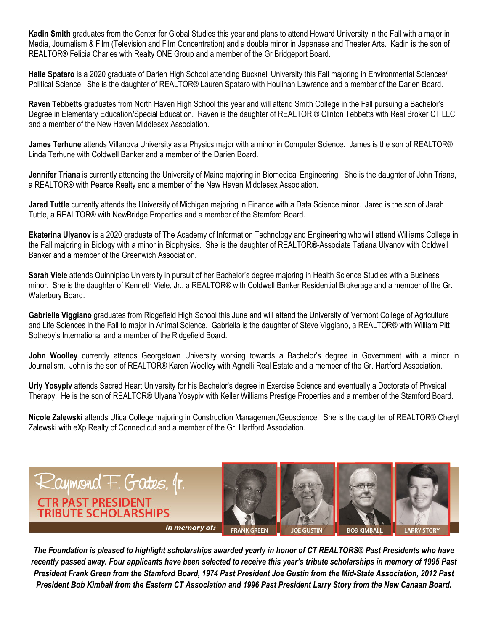**Kadin Smith** graduates from the Center for Global Studies this year and plans to attend Howard University in the Fall with a major in Media, Journalism & Film (Television and Film Concentration) and a double minor in Japanese and Theater Arts. Kadin is the son of REALTOR® Felicia Charles with Realty ONE Group and a member of the Gr Bridgeport Board.

Halle Spataro is a 2020 graduate of Darien High School attending Bucknell University this Fall majoring in Environmental Sciences/ Political Science. She is the daughter of REALTOR® Lauren Spataro with Houlihan Lawrence and a member of the Darien Board.

**Raven Tebbetts** graduates from North Haven High School this year and will attend Smith College in the Fall pursuing a Bachelor's Degree in Elementary Education/Special Education. Raven is the daughter of REALTOR ® Clinton Tebbetts with Real Broker CT LLC and a member of the New Haven Middlesex Association.

**James Terhune** attends Villanova University as a Physics major with a minor in Computer Science. James is the son of REALTOR® Linda Terhune with Coldwell Banker and a member of the Darien Board.

**Jennifer Triana** is currently attending the University of Maine majoring in Biomedical Engineering. She is the daughter of John Triana, a REALTOR® with Pearce Realty and a member of the New Haven Middlesex Association.

**Jared Tuttle** currently attends the University of Michigan majoring in Finance with a Data Science minor. Jared is the son of Jarah Tuttle, a REALTOR® with NewBridge Properties and a member of the Stamford Board.

**Ekaterina Ulyanov** is a 2020 graduate of The Academy of Information Technology and Engineering who will attend Williams College in the Fall majoring in Biology with a minor in Biophysics. She is the daughter of REALTOR®-Associate Tatiana Ulyanov with Coldwell Banker and a member of the Greenwich Association.

**Sarah Viele** attends Quinnipiac University in pursuit of her Bachelor's degree majoring in Health Science Studies with a Business minor. She is the daughter of Kenneth Viele, Jr., a REALTOR® with Coldwell Banker Residential Brokerage and a member of the Gr. Waterbury Board.

**Gabriella Viggiano** graduates from Ridgefield High School this June and will attend the University of Vermont College of Agriculture and Life Sciences in the Fall to major in Animal Science. Gabriella is the daughter of Steve Viggiano, a REALTOR® with William Pitt Sotheby's International and a member of the Ridgefield Board.

**John Woolley** currently attends Georgetown University working towards a Bachelor's degree in Government with a minor in Journalism. John is the son of REALTOR® Karen Woolley with Agnelli Real Estate and a member of the Gr. Hartford Association.

**Uriy Yosypiv** attends Sacred Heart University for his Bachelor's degree in Exercise Science and eventually a Doctorate of Physical Therapy. He is the son of REALTOR® Ulyana Yosypiv with Keller Williams Prestige Properties and a member of the Stamford Board.

**Nicole Zalewski** attends Utica College majoring in Construction Management/Geoscience. She is the daughter of REALTOR® Cheryl Zalewski with eXp Realty of Connecticut and a member of the Gr. Hartford Association.



*The Foundation is pleased to highlight scholarships awarded yearly in honor of CT REALTORS® Past Presidents who have recently passed away. Four applicants have been selected to receive this year's tribute scholarships in memory of 1995 Past President Frank Green from the Stamford Board, 1974 Past President Joe Gustin from the Mid-State Association, 2012 Past President Bob Kimball from the Eastern CT Association and 1996 Past President Larry Story from the New Canaan Board.*